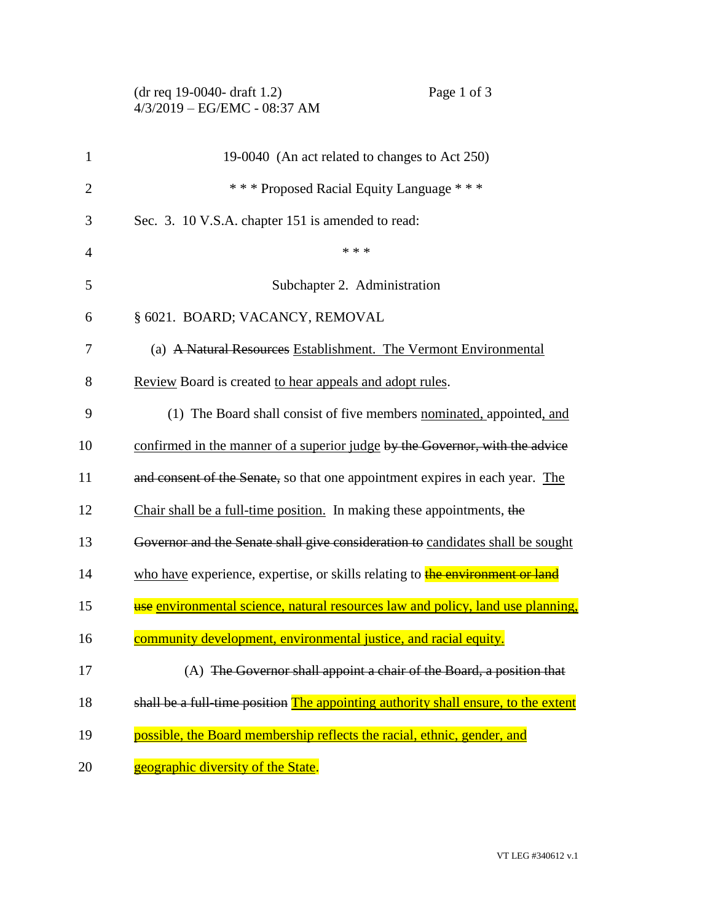| (dr req 19-0040- draft 1.2)    |
|--------------------------------|
| $4/3/2019 - EG/EMC - 08:37 AM$ |

| $\mathbf{1}$   | 19-0040 (An act related to changes to Act 250)                                       |
|----------------|--------------------------------------------------------------------------------------|
| $\overline{2}$ | *** Proposed Racial Equity Language ***                                              |
| 3              | Sec. 3. 10 V.S.A. chapter 151 is amended to read:                                    |
| $\overline{4}$ | * * *                                                                                |
| 5              | Subchapter 2. Administration                                                         |
| 6              | § 6021. BOARD; VACANCY, REMOVAL                                                      |
| 7              | (a) A Natural Resources Establishment. The Vermont Environmental                     |
| 8              | Review Board is created to hear appeals and adopt rules.                             |
| 9              | (1) The Board shall consist of five members nominated, appointed, and                |
| 10             | confirmed in the manner of a superior judge by the Governor, with the advice         |
| 11             | and consent of the Senate, so that one appointment expires in each year. The         |
| 12             | Chair shall be a full-time position. In making these appointments, the               |
| 13             | Governor and the Senate shall give consideration to candidates shall be sought       |
| 14             | who have experience, expertise, or skills relating to <b>the environment or land</b> |
| 15             | use environmental science, natural resources law and policy, land use planning,      |
| 16             | community development, environmental justice, and racial equity.                     |
| 17             | (A) The Governor shall appoint a chair of the Board, a position that                 |
| 18             | shall be a full time position The appointing authority shall ensure, to the extent   |
| 19             | possible, the Board membership reflects the racial, ethnic, gender, and              |
| 20             | geographic diversity of the State.                                                   |

Page 1 of 3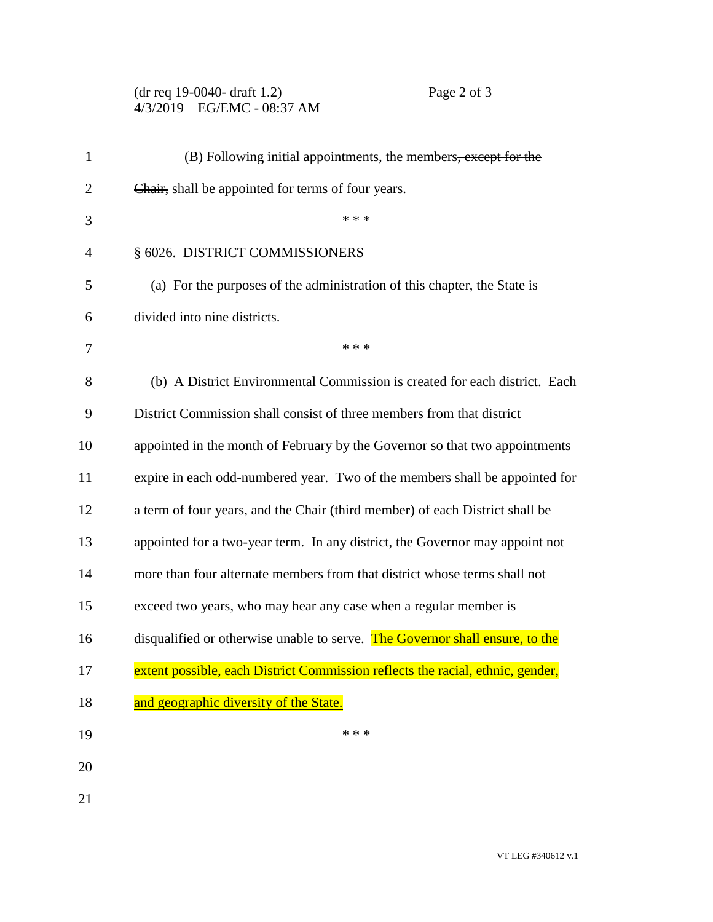## (dr req 19-0040- draft 1.2) Page 2 of 3 4/3/2019 – EG/EMC - 08:37 AM

| $\mathbf{1}$   | (B) Following initial appointments, the members, except for the                |
|----------------|--------------------------------------------------------------------------------|
| $\overline{2}$ | Chair, shall be appointed for terms of four years.                             |
| 3              | * * *                                                                          |
| 4              | § 6026. DISTRICT COMMISSIONERS                                                 |
| 5              | (a) For the purposes of the administration of this chapter, the State is       |
| 6              | divided into nine districts.                                                   |
| 7              | * * *                                                                          |
| 8              | (b) A District Environmental Commission is created for each district. Each     |
| 9              | District Commission shall consist of three members from that district          |
| 10             | appointed in the month of February by the Governor so that two appointments    |
| 11             | expire in each odd-numbered year. Two of the members shall be appointed for    |
| 12             | a term of four years, and the Chair (third member) of each District shall be   |
| 13             | appointed for a two-year term. In any district, the Governor may appoint not   |
| 14             | more than four alternate members from that district whose terms shall not      |
| 15             | exceed two years, who may hear any case when a regular member is               |
| 16             | disqualified or otherwise unable to serve. The Governor shall ensure, to the   |
| 17             | extent possible, each District Commission reflects the racial, ethnic, gender, |
| 18             | and geographic diversity of the State.                                         |
| 19             | * * *                                                                          |
| 20             |                                                                                |
| 21             |                                                                                |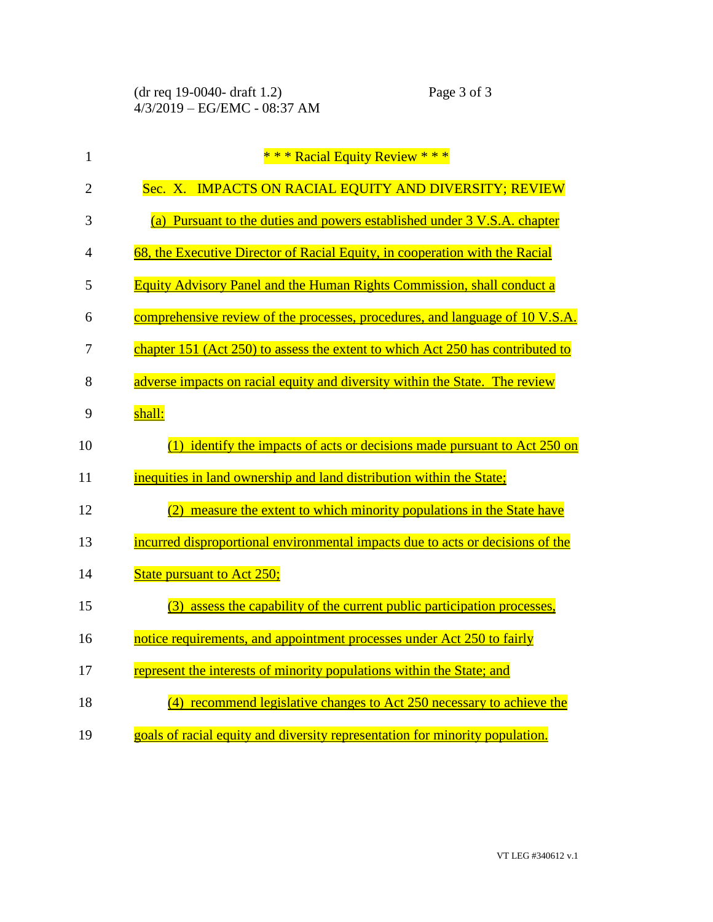| $\mathbf{1}$   | * * * Racial Equity Review * * *                                                    |
|----------------|-------------------------------------------------------------------------------------|
| $\overline{2}$ | Sec. X. IMPACTS ON RACIAL EQUITY AND DIVERSITY; REVIEW                              |
| 3              | (a) Pursuant to the duties and powers established under 3 V.S.A. chapter            |
| 4              | 68, the Executive Director of Racial Equity, in cooperation with the Racial         |
| 5              | Equity Advisory Panel and the Human Rights Commission, shall conduct a              |
| 6              | comprehensive review of the processes, procedures, and language of 10 V.S.A.        |
| 7              | chapter 151 (Act $250$ ) to assess the extent to which Act $250$ has contributed to |
| 8              | adverse impacts on racial equity and diversity within the State. The review         |
| 9              | shall:                                                                              |
| 10             | $(1)$ identify the impacts of acts or decisions made pursuant to Act 250 on         |
| 11             | inequities in land ownership and land distribution within the State;                |
| 12             | measure the extent to which minority populations in the State have<br>(2)           |
| 13             | incurred disproportional environmental impacts due to acts or decisions of the      |
| 14             | <b>State pursuant to Act 250;</b>                                                   |
| 15             | assess the capability of the current public participation processes,<br>(3)         |
| 16             | notice requirements, and appointment processes under Act 250 to fairly              |
| 17             | represent the interests of minority populations within the State; and               |
| 18             | recommend legislative changes to Act 250 necessary to achieve the<br>(4)            |
| 19             | goals of racial equity and diversity representation for minority population.        |